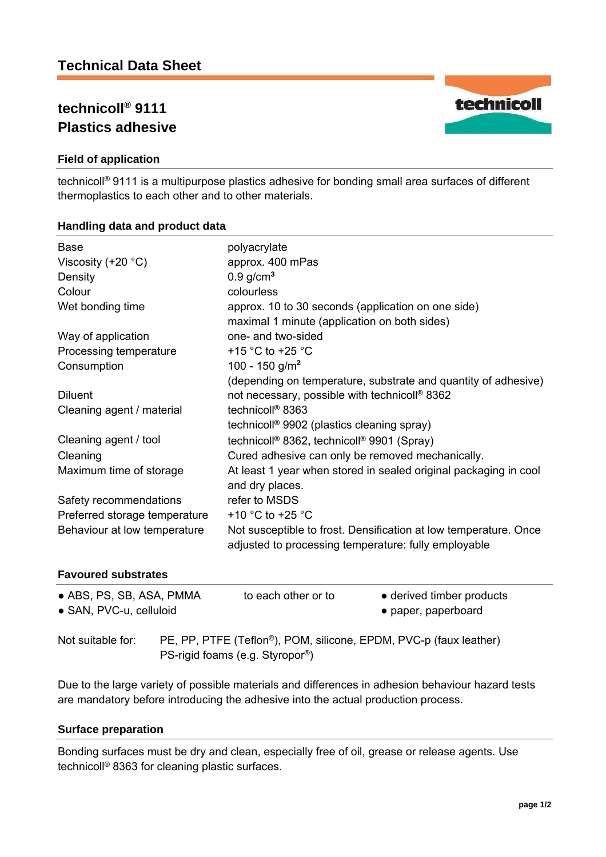# **technicoll® 9111 Plastics adhesive**



technicoll® 9111 is a multipurpose plastics adhesive for bonding small area surfaces of different thermoplastics to each other and to other materials.

## **Handling data and product data**

| <b>Base</b><br>Viscosity $(+20 °C)$ | polyacrylate<br>approx. 400 mPas                                                                                         |
|-------------------------------------|--------------------------------------------------------------------------------------------------------------------------|
| Density                             | $0.9$ g/cm <sup>3</sup>                                                                                                  |
| Colour                              | colourless                                                                                                               |
| Wet bonding time                    | approx. 10 to 30 seconds (application on one side)                                                                       |
|                                     | maximal 1 minute (application on both sides)                                                                             |
| Way of application                  | one- and two-sided                                                                                                       |
| Processing temperature              | +15 $\degree$ C to +25 $\degree$ C                                                                                       |
| Consumption                         | 100 - 150 g/m <sup>2</sup>                                                                                               |
|                                     | (depending on temperature, substrate and quantity of adhesive)                                                           |
| <b>Diluent</b>                      | not necessary, possible with technicoll <sup>®</sup> 8362                                                                |
| Cleaning agent / material           | technicoll <sup>®</sup> 8363                                                                                             |
|                                     | technicoll <sup>®</sup> 9902 (plastics cleaning spray)                                                                   |
| Cleaning agent / tool               | technicoll® 8362, technicoll® 9901 (Spray)                                                                               |
| Cleaning                            | Cured adhesive can only be removed mechanically.                                                                         |
| Maximum time of storage             | At least 1 year when stored in sealed original packaging in cool<br>and dry places.                                      |
| Safety recommendations              | refer to MSDS                                                                                                            |
| Preferred storage temperature       | +10 $^{\circ}$ C to +25 $^{\circ}$ C                                                                                     |
| Behaviour at low temperature        | Not susceptible to frost. Densification at low temperature. Once<br>adjusted to processing temperature: fully employable |
| <b>Favoured substrates</b>          |                                                                                                                          |

| <b>Favoured substrates</b> |  |
|----------------------------|--|
|----------------------------|--|

| • ABS, PS, SB, ASA, PMMA<br>• SAN, PVC-u, celluloid |                                                                                                                                | to each other or to | • derived timber products<br>• paper, paperboard |  |
|-----------------------------------------------------|--------------------------------------------------------------------------------------------------------------------------------|---------------------|--------------------------------------------------|--|
| Not suitable for:                                   | PE, PP, PTFE (Teflon <sup>®</sup> ), POM, silicone, EPDM, PVC-p (faux leather)<br>PS-rigid foams (e.g. Styropor <sup>®</sup> ) |                     |                                                  |  |

Due to the large variety of possible materials and differences in adhesion behaviour hazard tests are mandatory before introducing the adhesive into the actual production process.

## **Surface preparation**

Bonding surfaces must be dry and clean, especially free of oil, grease or release agents. Use technicoll® 8363 for cleaning plastic surfaces.